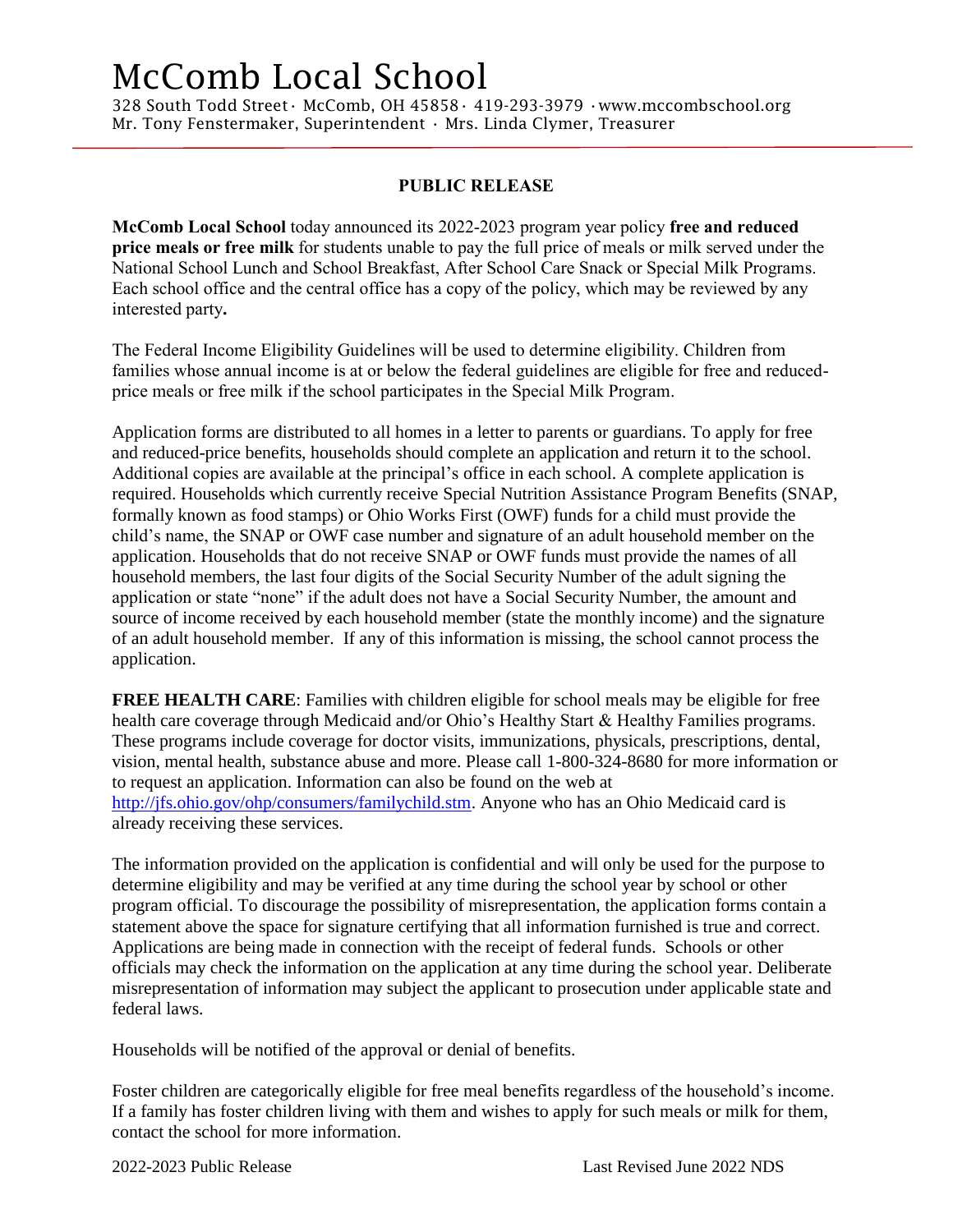## McComb Local School

328 South Todd Street• McComb, OH 45858• 419-293-3979 •www.mccombschool.org Mr. Tony Fenstermaker, Superintendent • Mrs. Linda Clymer, Treasurer

## **PUBLIC RELEASE**

**McComb Local School** today announced its 2022-2023 program year policy **free and reduced price meals or free milk** for students unable to pay the full price of meals or milk served under the National School Lunch and School Breakfast, After School Care Snack or Special Milk Programs. Each school office and the central office has a copy of the policy, which may be reviewed by any interested party**.**

The Federal Income Eligibility Guidelines will be used to determine eligibility. Children from families whose annual income is at or below the federal guidelines are eligible for free and reducedprice meals or free milk if the school participates in the Special Milk Program.

Application forms are distributed to all homes in a letter to parents or guardians. To apply for free and reduced-price benefits, households should complete an application and return it to the school. Additional copies are available at the principal's office in each school. A complete application is required. Households which currently receive Special Nutrition Assistance Program Benefits (SNAP, formally known as food stamps) or Ohio Works First (OWF) funds for a child must provide the child's name, the SNAP or OWF case number and signature of an adult household member on the application. Households that do not receive SNAP or OWF funds must provide the names of all household members, the last four digits of the Social Security Number of the adult signing the application or state "none" if the adult does not have a Social Security Number, the amount and source of income received by each household member (state the monthly income) and the signature of an adult household member. If any of this information is missing, the school cannot process the application.

**FREE HEALTH CARE:** Families with children eligible for school meals may be eligible for free health care coverage through Medicaid and/or Ohio's Healthy Start & Healthy Families programs. These programs include coverage for doctor visits, immunizations, physicals, prescriptions, dental, vision, mental health, substance abuse and more. Please call 1-800-324-8680 for more information or to request an application. Information can also be found on the web at [http://jfs.ohio.gov/ohp/consumers/familychild.stm.](http://jfs.ohio.gov/ohp/consumers/familychild.stm) Anyone who has an Ohio Medicaid card is already receiving these services.

The information provided on the application is confidential and will only be used for the purpose to determine eligibility and may be verified at any time during the school year by school or other program official. To discourage the possibility of misrepresentation, the application forms contain a statement above the space for signature certifying that all information furnished is true and correct. Applications are being made in connection with the receipt of federal funds. Schools or other officials may check the information on the application at any time during the school year. Deliberate misrepresentation of information may subject the applicant to prosecution under applicable state and federal laws.

Households will be notified of the approval or denial of benefits.

Foster children are categorically eligible for free meal benefits regardless of the household's income. If a family has foster children living with them and wishes to apply for such meals or milk for them, contact the school for more information.